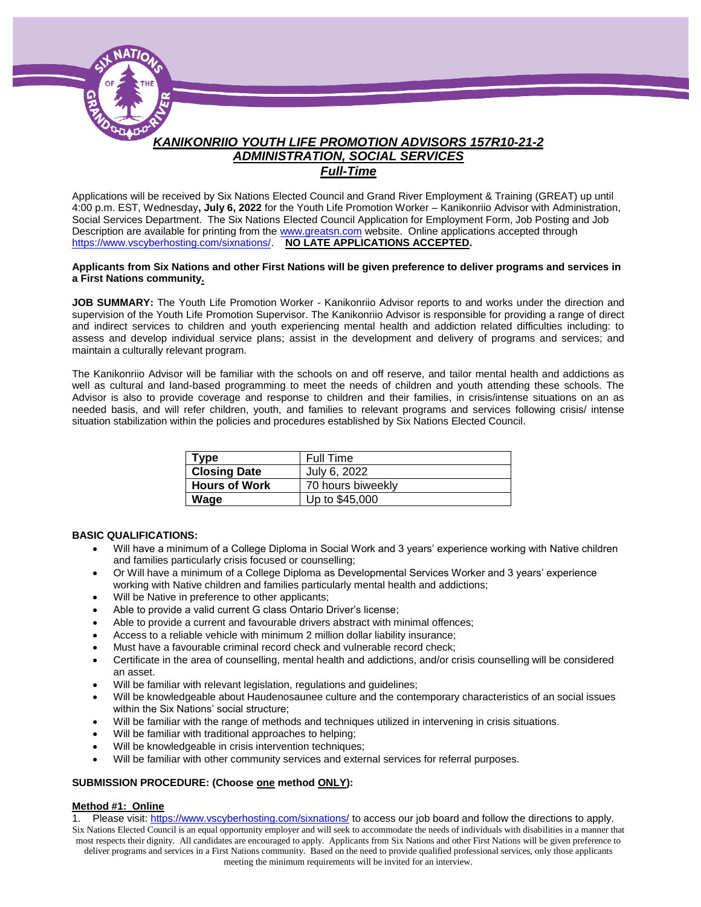

*Full-Time*

Applications will be received by Six Nations Elected Council and Grand River Employment & Training (GREAT) up until 4:00 p.m. EST, Wednesday**, July 6, 2022** for the Youth Life Promotion Worker – Kanikonriio Advisor with Administration, Social Services Department. The Six Nations Elected Council Application for Employment Form, Job Posting and Job Description are available for printing from the [www.greatsn.com](http://www.greatsn.com/) website. Online applications accepted through [https://www.vscyberhosting.com/sixnations/.](https://www.vscyberhosting.com/sixnations/) **NO LATE APPLICATIONS ACCEPTED.** 

#### **Applicants from Six Nations and other First Nations will be given preference to deliver programs and services in a First Nations community.**

**JOB SUMMARY:** The Youth Life Promotion Worker - Kanikonriio Advisor reports to and works under the direction and supervision of the Youth Life Promotion Supervisor. The Kanikonriio Advisor is responsible for providing a range of direct and indirect services to children and youth experiencing mental health and addiction related difficulties including: to assess and develop individual service plans; assist in the development and delivery of programs and services; and maintain a culturally relevant program.

The Kanikonriio Advisor will be familiar with the schools on and off reserve, and tailor mental health and addictions as well as cultural and land-based programming to meet the needs of children and youth attending these schools. The Advisor is also to provide coverage and response to children and their families, in crisis/intense situations on an as needed basis, and will refer children, youth, and families to relevant programs and services following crisis/ intense situation stabilization within the policies and procedures established by Six Nations Elected Council.

| Type                 | Full Time         |
|----------------------|-------------------|
| <b>Closing Date</b>  | July 6, 2022      |
| <b>Hours of Work</b> | 70 hours biweekly |
| Wage                 | Up to \$45,000    |

#### **BASIC QUALIFICATIONS:**

- Will have a minimum of a College Diploma in Social Work and 3 years' experience working with Native children and families particularly crisis focused or counselling;
- Or Will have a minimum of a College Diploma as Developmental Services Worker and 3 years' experience working with Native children and families particularly mental health and addictions;
- Will be Native in preference to other applicants;
- Able to provide a valid current G class Ontario Driver's license;
- Able to provide a current and favourable drivers abstract with minimal offences;
- Access to a reliable vehicle with minimum 2 million dollar liability insurance;
- Must have a favourable criminal record check and vulnerable record check;
- Certificate in the area of counselling, mental health and addictions, and/or crisis counselling will be considered an asset.
- Will be familiar with relevant legislation, regulations and guidelines;
- Will be knowledgeable about Haudenosaunee culture and the contemporary characteristics of an social issues within the Six Nations' social structure;
- Will be familiar with the range of methods and techniques utilized in intervening in crisis situations.
- Will be familiar with traditional approaches to helping;
- Will be knowledgeable in crisis intervention techniques;
- Will be familiar with other community services and external services for referral purposes.

#### **SUBMISSION PROCEDURE: (Choose one method ONLY):**

#### **Method #1: Online**

Six Nations Elected Council is an equal opportunity employer and will seek to accommodate the needs of individuals with disabilities in a manner that most respects their dignity. All candidates are encouraged to apply. Applicants from Six Nations and other First Nations will be given preference to deliver programs and services in a First Nations community. Based on the need to provide qualified professional services, only those applicants meeting the minimum requirements will be invited for an interview. 1. Please visit[: https://www.vscyberhosting.com/sixnations/](https://www.vscyberhosting.com/sixnations/) to access our job board and follow the directions to apply.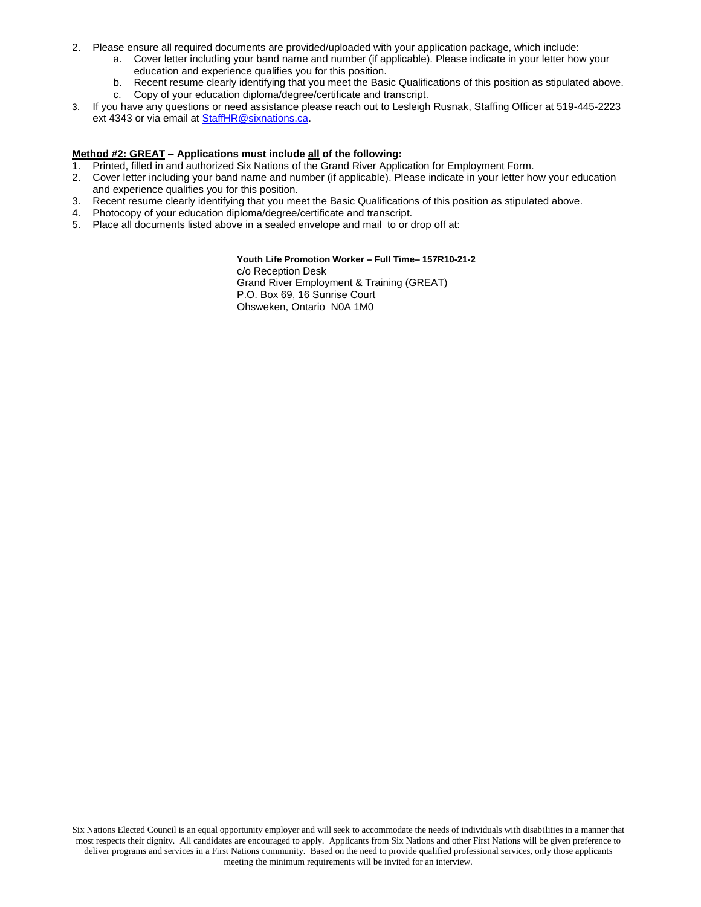- 2. Please ensure all required documents are provided/uploaded with your application package, which include:
	- a. Cover letter including your band name and number (if applicable). Please indicate in your letter how your education and experience qualifies you for this position.
	- b. Recent resume clearly identifying that you meet the Basic Qualifications of this position as stipulated above.
	- c. Copy of your education diploma/degree/certificate and transcript.
- 3. If you have any questions or need assistance please reach out to Lesleigh Rusnak, Staffing Officer at 519-445-2223 ext 4343 or via email a[t StaffHR@sixnations.ca.](mailto:StaffHR@sixnations.ca)

#### **Method #2: GREAT – Applications must include all of the following:**

- 1. Printed, filled in and authorized Six Nations of the Grand River Application for Employment Form.
- 2. Cover letter including your band name and number (if applicable). Please indicate in your letter how your education and experience qualifies you for this position.
- 3. Recent resume clearly identifying that you meet the Basic Qualifications of this position as stipulated above.
- 4. Photocopy of your education diploma/degree/certificate and transcript.
- 5. Place all documents listed above in a sealed envelope and mail to or drop off at:

#### **Youth Life Promotion Worker – Full Time– 157R10-21-2**

c/o Reception Desk Grand River Employment & Training (GREAT) P.O. Box 69, 16 Sunrise Court Ohsweken, Ontario N0A 1M0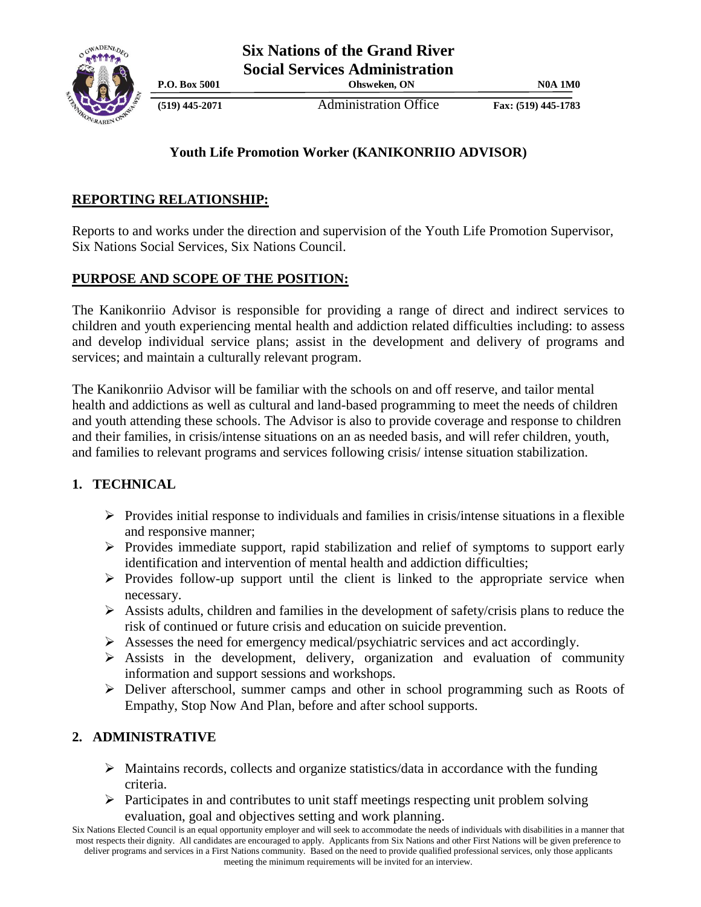

**(519) 445-2071** Administration Office **Fax: (519) 445-1783**

**P.O. Box 5001 Ohsweken, ON N0A 1M0**

# **Youth Life Promotion Worker (KANIKONRIIO ADVISOR)**

# **REPORTING RELATIONSHIP:**

Reports to and works under the direction and supervision of the Youth Life Promotion Supervisor, Six Nations Social Services, Six Nations Council.

## **PURPOSE AND SCOPE OF THE POSITION:**

The Kanikonriio Advisor is responsible for providing a range of direct and indirect services to children and youth experiencing mental health and addiction related difficulties including: to assess and develop individual service plans; assist in the development and delivery of programs and services; and maintain a culturally relevant program.

The Kanikonriio Advisor will be familiar with the schools on and off reserve, and tailor mental health and addictions as well as cultural and land-based programming to meet the needs of children and youth attending these schools. The Advisor is also to provide coverage and response to children and their families, in crisis/intense situations on an as needed basis, and will refer children, youth, and families to relevant programs and services following crisis/ intense situation stabilization.

## **1. TECHNICAL**

- $\triangleright$  Provides initial response to individuals and families in crisis/intense situations in a flexible and responsive manner;
- $\triangleright$  Provides immediate support, rapid stabilization and relief of symptoms to support early identification and intervention of mental health and addiction difficulties;
- $\triangleright$  Provides follow-up support until the client is linked to the appropriate service when necessary.
- $\triangleright$  Assists adults, children and families in the development of safety/crisis plans to reduce the risk of continued or future crisis and education on suicide prevention.
- Assesses the need for emergency medical/psychiatric services and act accordingly.
- $\triangleright$  Assists in the development, delivery, organization and evaluation of community information and support sessions and workshops.
- Deliver afterschool, summer camps and other in school programming such as Roots of Empathy, Stop Now And Plan, before and after school supports.

## **2. ADMINISTRATIVE**

- $\triangleright$  Maintains records, collects and organize statistics/data in accordance with the funding criteria.
- $\triangleright$  Participates in and contributes to unit staff meetings respecting unit problem solving evaluation, goal and objectives setting and work planning.

Six Nations Elected Council is an equal opportunity employer and will seek to accommodate the needs of individuals with disabilities in a manner that most respects their dignity. All candidates are encouraged to apply. Applicants from Six Nations and other First Nations will be given preference to deliver programs and services in a First Nations community. Based on the need to provide qualified professional services, only those applicants meeting the minimum requirements will be invited for an interview.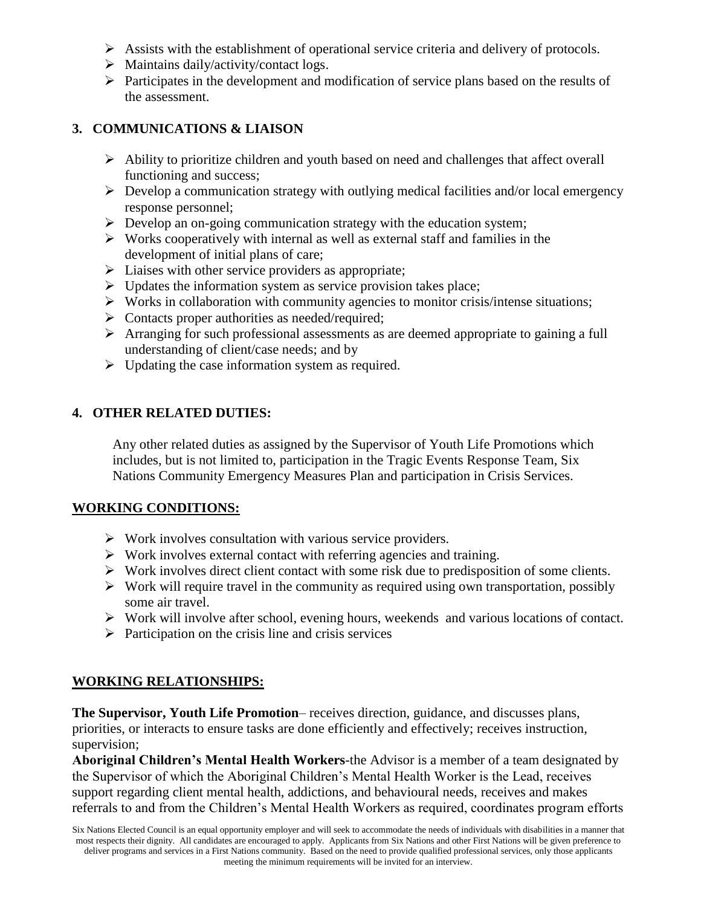- $\triangleright$  Assists with the establishment of operational service criteria and delivery of protocols.
- $\triangleright$  Maintains daily/activity/contact logs.
- $\triangleright$  Participates in the development and modification of service plans based on the results of the assessment.

### **3. COMMUNICATIONS & LIAISON**

- $\triangleright$  Ability to prioritize children and youth based on need and challenges that affect overall functioning and success;
- $\triangleright$  Develop a communication strategy with outlying medical facilities and/or local emergency response personnel;
- $\triangleright$  Develop an on-going communication strategy with the education system;
- $\triangleright$  Works cooperatively with internal as well as external staff and families in the development of initial plans of care;
- $\triangleright$  Liaises with other service providers as appropriate;
- $\triangleright$  Updates the information system as service provision takes place;
- $\triangleright$  Works in collaboration with community agencies to monitor crisis/intense situations;
- $\triangleright$  Contacts proper authorities as needed/required;
- Arranging for such professional assessments as are deemed appropriate to gaining a full understanding of client/case needs; and by
- $\triangleright$  Updating the case information system as required.

#### **4. OTHER RELATED DUTIES:**

Any other related duties as assigned by the Supervisor of Youth Life Promotions which includes, but is not limited to, participation in the Tragic Events Response Team, Six Nations Community Emergency Measures Plan and participation in Crisis Services.

#### **WORKING CONDITIONS:**

- $\triangleright$  Work involves consultation with various service providers.
- $\triangleright$  Work involves external contact with referring agencies and training.
- $\triangleright$  Work involves direct client contact with some risk due to predisposition of some clients.
- $\triangleright$  Work will require travel in the community as required using own transportation, possibly some air travel.
- $\triangleright$  Work will involve after school, evening hours, weekends and various locations of contact.
- $\triangleright$  Participation on the crisis line and crisis services

#### **WORKING RELATIONSHIPS:**

**The Supervisor, Youth Life Promotion**– receives direction, guidance, and discusses plans, priorities, or interacts to ensure tasks are done efficiently and effectively; receives instruction, supervision;

**Aboriginal Children's Mental Health Workers**-the Advisor is a member of a team designated by the Supervisor of which the Aboriginal Children's Mental Health Worker is the Lead, receives support regarding client mental health, addictions, and behavioural needs, receives and makes referrals to and from the Children's Mental Health Workers as required, coordinates program efforts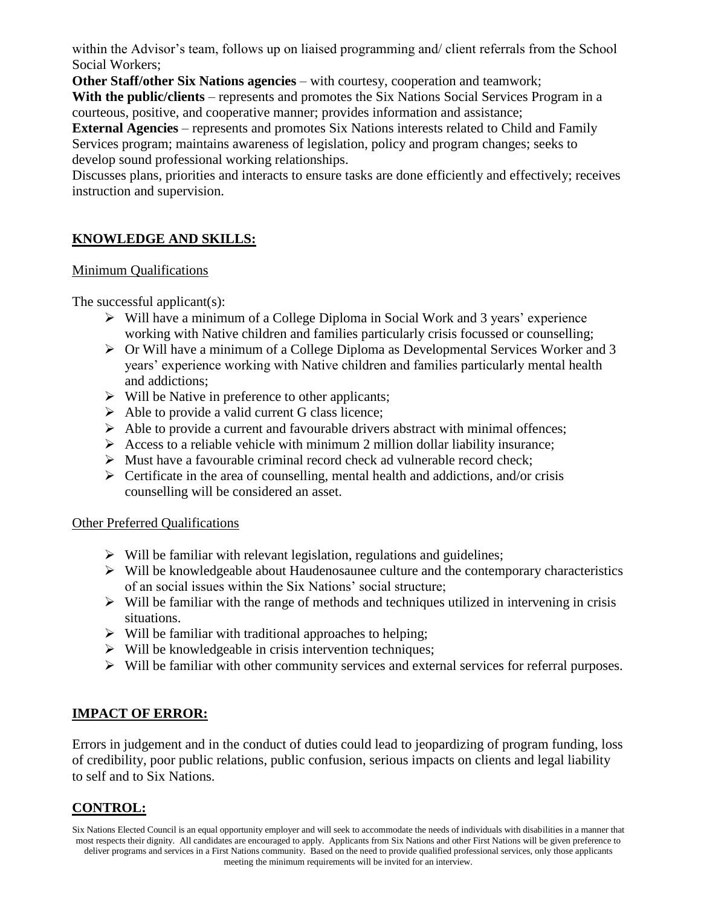within the Advisor's team, follows up on liaised programming and/ client referrals from the School Social Workers;

**Other Staff/other Six Nations agencies** – with courtesy, cooperation and teamwork;

**With the public/clients** – represents and promotes the Six Nations Social Services Program in a courteous, positive, and cooperative manner; provides information and assistance;

**External Agencies** – represents and promotes Six Nations interests related to Child and Family Services program; maintains awareness of legislation, policy and program changes; seeks to develop sound professional working relationships.

Discusses plans, priorities and interacts to ensure tasks are done efficiently and effectively; receives instruction and supervision.

# **KNOWLEDGE AND SKILLS:**

## Minimum Qualifications

The successful applicant(s):

- $\triangleright$  Will have a minimum of a College Diploma in Social Work and 3 years' experience working with Native children and families particularly crisis focussed or counselling;
- Or Will have a minimum of a College Diploma as Developmental Services Worker and 3 years' experience working with Native children and families particularly mental health and addictions;
- $\triangleright$  Will be Native in preference to other applicants;
- $\triangleright$  Able to provide a valid current G class licence;
- $\triangleright$  Able to provide a current and favourable drivers abstract with minimal offences;
- Access to a reliable vehicle with minimum 2 million dollar liability insurance;
- $\triangleright$  Must have a favourable criminal record check ad vulnerable record check;
- $\triangleright$  Certificate in the area of counselling, mental health and addictions, and/or crisis counselling will be considered an asset.

## Other Preferred Qualifications

- $\triangleright$  Will be familiar with relevant legislation, regulations and guidelines;
- $\triangleright$  Will be knowledgeable about Haudenosaunee culture and the contemporary characteristics of an social issues within the Six Nations' social structure;
- $\triangleright$  Will be familiar with the range of methods and techniques utilized in intervening in crisis situations.
- $\triangleright$  Will be familiar with traditional approaches to helping;
- $\triangleright$  Will be knowledgeable in crisis intervention techniques;
- $\triangleright$  Will be familiar with other community services and external services for referral purposes.

# **IMPACT OF ERROR:**

Errors in judgement and in the conduct of duties could lead to jeopardizing of program funding, loss of credibility, poor public relations, public confusion, serious impacts on clients and legal liability to self and to Six Nations.

## **CONTROL:**

Six Nations Elected Council is an equal opportunity employer and will seek to accommodate the needs of individuals with disabilities in a manner that most respects their dignity. All candidates are encouraged to apply. Applicants from Six Nations and other First Nations will be given preference to deliver programs and services in a First Nations community. Based on the need to provide qualified professional services, only those applicants meeting the minimum requirements will be invited for an interview.